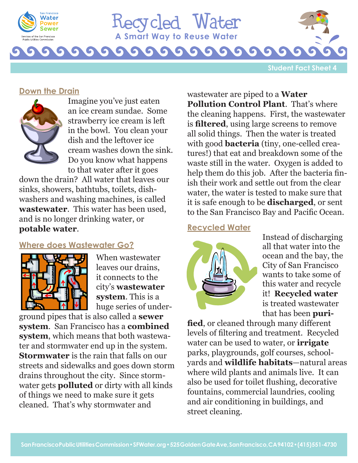



G

**Student Fact Sheet 4**

### **Down the Drain**



Imagine you've just eaten an ice cream sundae. Some strawberry ice cream is left in the bowl. You clean your dish and the leftover ice cream washes down the sink. Do you know what happens to that water after it goes

G

 $\sqrt{2}$ 

down the drain? All water that leaves our sinks, showers, bathtubs, toilets, dishwashers and washing machines, is called **wastewater**. This water has been used, and is no longer drinking water, or **potable water**.

# **Where does Wastewater Go?**



When wastewater leaves our drains, it connects to the city's **wastewater system**. This is a huge series of under-

ground pipes that is also called a **sewer system**. San Francisco has a **combined system**, which means that both wastewater and stormwater end up in the system. **Stormwater** is the rain that falls on our streets and sidewalks and goes down storm drains throughout the city. Since stormwater gets **polluted** or dirty with all kinds of things we need to make sure it gets cleaned. That's why stormwater and

wastewater are piped to a **Water Pollution Control Plant**. That's where the cleaning happens. First, the wastewater is **filtered**, using large screens to remove all solid things. Then the water is treated with good **bacteria** (tiny, one-celled creatures!) that eat and breakdown some of the waste still in the water. Oxygen is added to help them do this job. After the bacteria finish their work and settle out from the clear water, the water is tested to make sure that it is safe enough to be **discharged**, or sent to the San Francisco Bay and Pacific Ocean.

### **Recycled Water**



Instead of discharging all that water into the ocean and the bay, the City of San Francisco wants to take some of this water and recycle it! **Recycled water** is treated wastewater that has been **puri-**

**fied**, or cleaned through many different levels of filtering and treatment. Recycled water can be used to water, or **irrigate** parks, playgrounds, golf courses, schoolyards and **wildlife habitats**—natural areas where wild plants and animals live. It can also be used for toilet flushing, decorative fountains, commercial laundries, cooling and air conditioning in buildings, and street cleaning.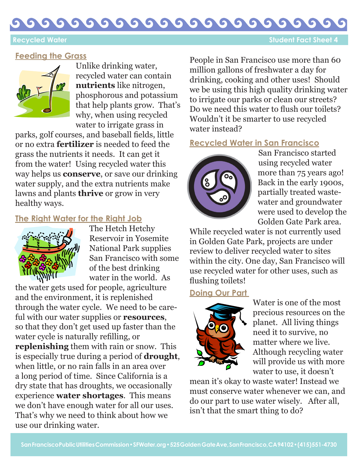### $\bullet$ G 6  $\bullet$ G  $\bullet$ G

 **Recycled Water Student Fact Sheet 4** 

# **Feeding the Grass**



Unlike drinking water, recycled water can contain **nutrients** like nitrogen, phosphorous and potassium that help plants grow. That's why, when using recycled water to irrigate grass in

parks, golf courses, and baseball fields, little or no extra **fertilizer** is needed to feed the grass the nutrients it needs. It can get it from the water! Using recycled water this way helps us **conserve**, or save our drinking water supply, and the extra nutrients make lawns and plants **thrive** or grow in very healthy ways.

# **The Right Water for the Right Job**



The Hetch Hetchy Reservoir in Yosemite National Park supplies San Francisco with some of the best drinking water in the world. As

the water gets used for people, agriculture and the environment, it is replenished through the water cycle. We need to be careful with our water supplies or **resources**, so that they don't get used up faster than the water cycle is naturally refilling, or **replenishing** them with rain or snow. This is especially true during a period of **drought**, when little, or no rain falls in an area over a long period of time. Since California is a dry state that has droughts, we occasionally experience **water shortages**. This means we don't have enough water for all our uses. That's why we need to think about how we use our drinking water.

People in San Francisco use more than 60 million gallons of freshwater a day for drinking, cooking and other uses! Should we be using this high quality drinking water to irrigate our parks or clean our streets? Do we need this water to flush our toilets? Wouldn't it be smarter to use recycled water instead?

# **Recycled Water in San Francisco**



San Francisco started using recycled water more than 75 years ago! Back in the early 1900s, partially treated wastewater and groundwater were used to develop the Golden Gate Park area.

While recycled water is not currently used in Golden Gate Park, projects are under review to deliver recycled water to sites within the city. One day, San Francisco will use recycled water for other uses, such as flushing toilets!

## **Doing Our Part**



Water is one of the most precious resources on the planet. All living things need it to survive, no matter where we live. Although recycling water will provide us with more water to use, it doesn't

mean it's okay to waste water! Instead we must conserve water whenever we can, and do our part to use water wisely. After all, isn't that the smart thing to do?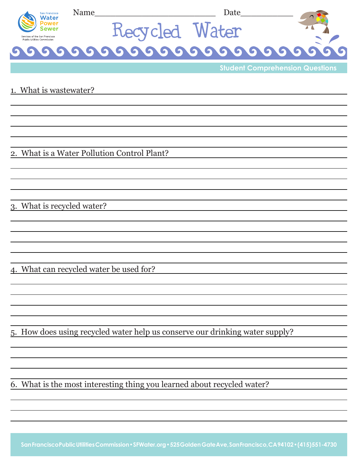| San Francisco<br>Water<br>Sewer<br>Services of the San Francisco<br>Public Utilities Commission | Name           | Date                                   |  |  |
|-------------------------------------------------------------------------------------------------|----------------|----------------------------------------|--|--|
|                                                                                                 | Recycled Water |                                        |  |  |
|                                                                                                 |                |                                        |  |  |
|                                                                                                 |                | <b>Student Comprehension Questions</b> |  |  |
| 1. What is wastewater?                                                                          |                |                                        |  |  |

2. What is a Water Pollution Control Plant?

3. What is recycled water?

4. What can recycled water be used for?

5. How does using recycled water help us conserve our drinking water supply?

6. What is the most interesting thing you learned about recycled water?

**San Francisco Public Utilities Commission • SFWater.org • 525 Golden Gate Ave, San Francisco, CA 94102 • (415) 551-4730**